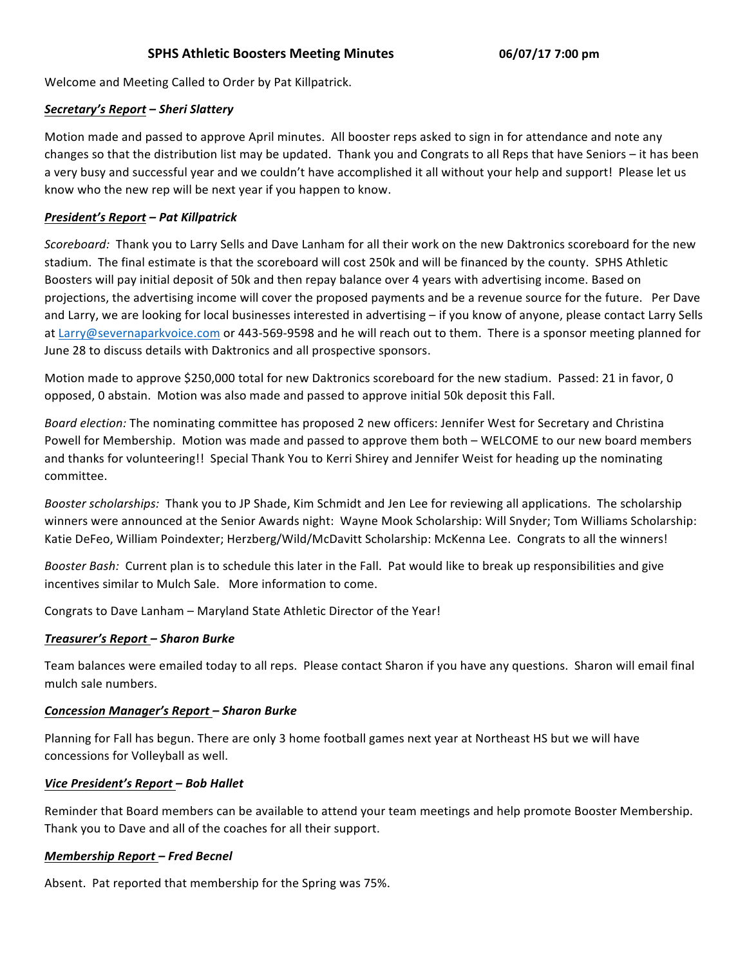Welcome and Meeting Called to Order by Pat Killpatrick.

## *Secretary's Report – Sheri Slattery*

Motion made and passed to approve April minutes. All booster reps asked to sign in for attendance and note any changes so that the distribution list may be updated. Thank you and Congrats to all Reps that have Seniors – it has been a very busy and successful year and we couldn't have accomplished it all without your help and support! Please let us know who the new rep will be next year if you happen to know.

# *President's Report – Pat Killpatrick*

*Scoreboard:* Thank you to Larry Sells and Dave Lanham for all their work on the new Daktronics scoreboard for the new stadium. The final estimate is that the scoreboard will cost 250k and will be financed by the county. SPHS Athletic Boosters will pay initial deposit of 50k and then repay balance over 4 years with advertising income. Based on projections, the advertising income will cover the proposed payments and be a revenue source for the future. Per Dave and Larry, we are looking for local businesses interested in advertising – if you know of anyone, please contact Larry Sells at Larry@severnaparkvoice.com or 443-569-9598 and he will reach out to them. There is a sponsor meeting planned for June 28 to discuss details with Daktronics and all prospective sponsors.

Motion made to approve \$250,000 total for new Daktronics scoreboard for the new stadium. Passed: 21 in favor, 0 opposed, 0 abstain. Motion was also made and passed to approve initial 50k deposit this Fall.

*Board election:* The nominating committee has proposed 2 new officers: Jennifer West for Secretary and Christina Powell for Membership. Motion was made and passed to approve them both – WELCOME to our new board members and thanks for volunteering!! Special Thank You to Kerri Shirey and Jennifer Weist for heading up the nominating committee.

Booster scholarships: Thank you to JP Shade, Kim Schmidt and Jen Lee for reviewing all applications. The scholarship winners were announced at the Senior Awards night: Wayne Mook Scholarship: Will Snyder; Tom Williams Scholarship: Katie DeFeo, William Poindexter; Herzberg/Wild/McDavitt Scholarship: McKenna Lee. Congrats to all the winners!

*Booster Bash:* Current plan is to schedule this later in the Fall. Pat would like to break up responsibilities and give incentives similar to Mulch Sale. More information to come.

Congrats to Dave Lanham - Maryland State Athletic Director of the Year!

## *Treasurer's Report – Sharon Burke*

Team balances were emailed today to all reps. Please contact Sharon if you have any questions. Sharon will email final mulch sale numbers.

## *Concession Manager's Report – Sharon Burke*

Planning for Fall has begun. There are only 3 home football games next year at Northeast HS but we will have concessions for Volleyball as well.

## *Vice President's Report – Bob Hallet*

Reminder that Board members can be available to attend your team meetings and help promote Booster Membership. Thank you to Dave and all of the coaches for all their support.

## *Membership Report – Fred Becnel*

Absent. Pat reported that membership for the Spring was 75%.